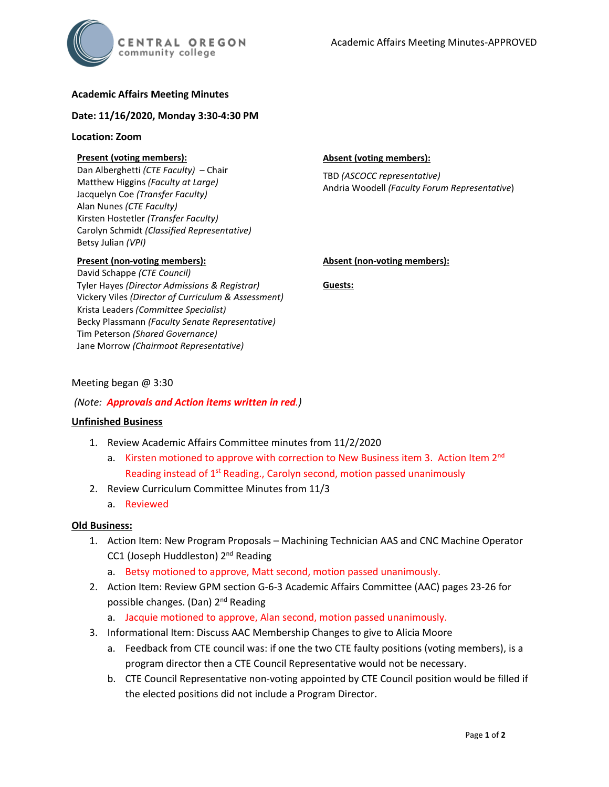## **Academic Affairs Meeting Minutes**

#### **Date: 11/16/2020, Monday 3:30-4:30 PM**

#### **Location: Zoom**

### **Present (voting members):**

Dan Alberghetti *(CTE Faculty)* – Chair Matthew Higgins *(Faculty at Large)* Jacquelyn Coe *(Transfer Faculty)*  Alan Nunes *(CTE Faculty)* Kirsten Hostetler *(Transfer Faculty)* Carolyn Schmidt *(Classified Representative)* Betsy Julian *(VPI)*

#### **Present (non-voting members):**

David Schappe *(CTE Council)* Tyler Hayes *(Director Admissions & Registrar)* Vickery Viles *(Director of Curriculum & Assessment)* Krista Leaders *(Committee Specialist)* Becky Plassmann *(Faculty Senate Representative)* Tim Peterson *(Shared Governance)* Jane Morrow *(Chairmoot Representative)*

#### **Absent (voting members):**

TBD *(ASCOCC representative)* Andria Woodell *(Faculty Forum Representative*)

### **Absent (non-voting members):**

**Guests:**

## Meeting began @ 3:30

## *(Note: Approvals and Action items written in red.)*

### **Unfinished Business**

- 1. Review Academic Affairs Committee minutes from 11/2/2020
	- a. Kirsten motioned to approve with correction to New Business item 3. Action Item  $2<sup>nd</sup>$ Reading instead of 1<sup>st</sup> Reading., Carolyn second, motion passed unanimously
- 2. Review Curriculum Committee Minutes from 11/3
	- a. Reviewed

### **Old Business:**

- 1. Action Item: New Program Proposals Machining Technician AAS and CNC Machine Operator CC1 (Joseph Huddleston) 2nd Reading
	- a. Betsy motioned to approve, Matt second, motion passed unanimously.
- 2. Action Item: Review GPM section G-6-3 Academic Affairs Committee (AAC) pages 23-26 for possible changes. (Dan) 2<sup>nd</sup> Reading
	- a. Jacquie motioned to approve, Alan second, motion passed unanimously.
- 3. Informational Item: Discuss AAC Membership Changes to give to Alicia Moore
	- a. Feedback from CTE council was: if one the two CTE faulty positions (voting members), is a program director then a CTE Council Representative would not be necessary.
	- b. CTE Council Representative non-voting appointed by CTE Council position would be filled if the elected positions did not include a Program Director.